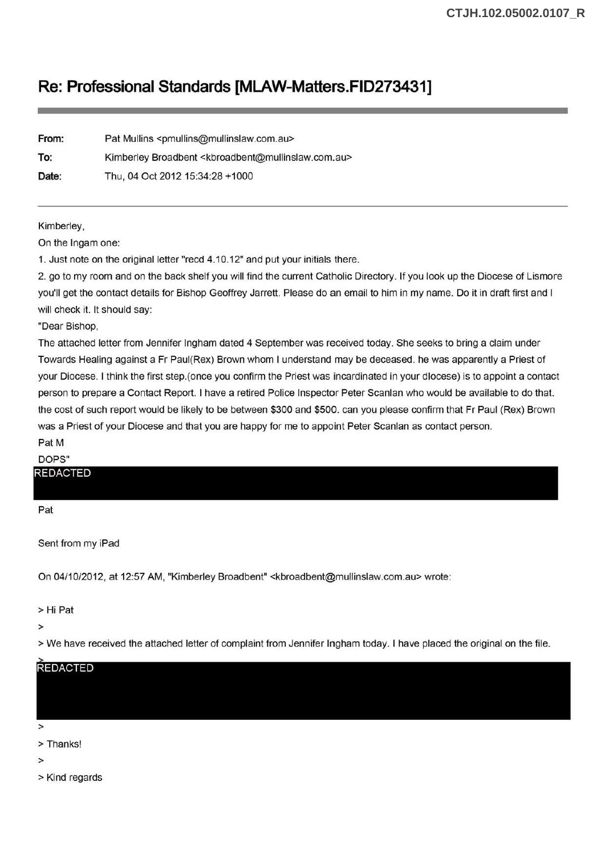## **Re: Professional Standards [MLAW-Matters.FID273431]**

| From: | Pat Mullins <pmullins@mullinslaw.com.au></pmullins@mullinslaw.com.au>             |
|-------|-----------------------------------------------------------------------------------|
| To:   | Kimberley Broadbent <kbroadbent@mullinslaw.com.au></kbroadbent@mullinslaw.com.au> |
| Date: | Thu, 04 Oct 2012 15:34:28 +1000                                                   |

Kimberley,

On the lngam one:

1. Just note on the original letter "recd 4.10.12" and put your initials there.

2. go to my room and on the back shelf you will find the current Catholic Directory. If you look up the Diocese of Lismore you'll get the contact details for Bishop Geoffrey Jarrett. Please do an email to him in my name. Do it in draft first and I will check it. It should say:

"Dear Bishop,

The attached letter from Jennifer Ingham dated 4 September was received today. She seeks to bring a claim under Towards Healing against a Fr Paul(Rex) Brown whom I understand may be deceased. he was apparently a Priest of your Diocese. I think the first step.( once you confirm the Priest was incardinated in your diocese) is to appoint a contact person to prepare a Contact Report. I have a retired Police Inspector Peter Scanlan who would be available to do that. the cost of such report would be likely to be between \$300 and \$500. can you please confirm that Fr Paul (Rex) Brown was a Priest of your Diocese and that you are happy for me to appoint Peter Scanlan as contact person.

## Pat M DOPS"

## REDACTED

Pat

Sent from my iPad

On 04/10/2012, at 12:57 AM, "Kimberley Broadbent" <kbroadbent@mullinslaw.com.au> wrote:

>Hi Pat

>

>We have received the attached letter of complaint from Jennifer Ingham today. I have placed the original on the file.



>

>Thanks!

>

> Kind regards